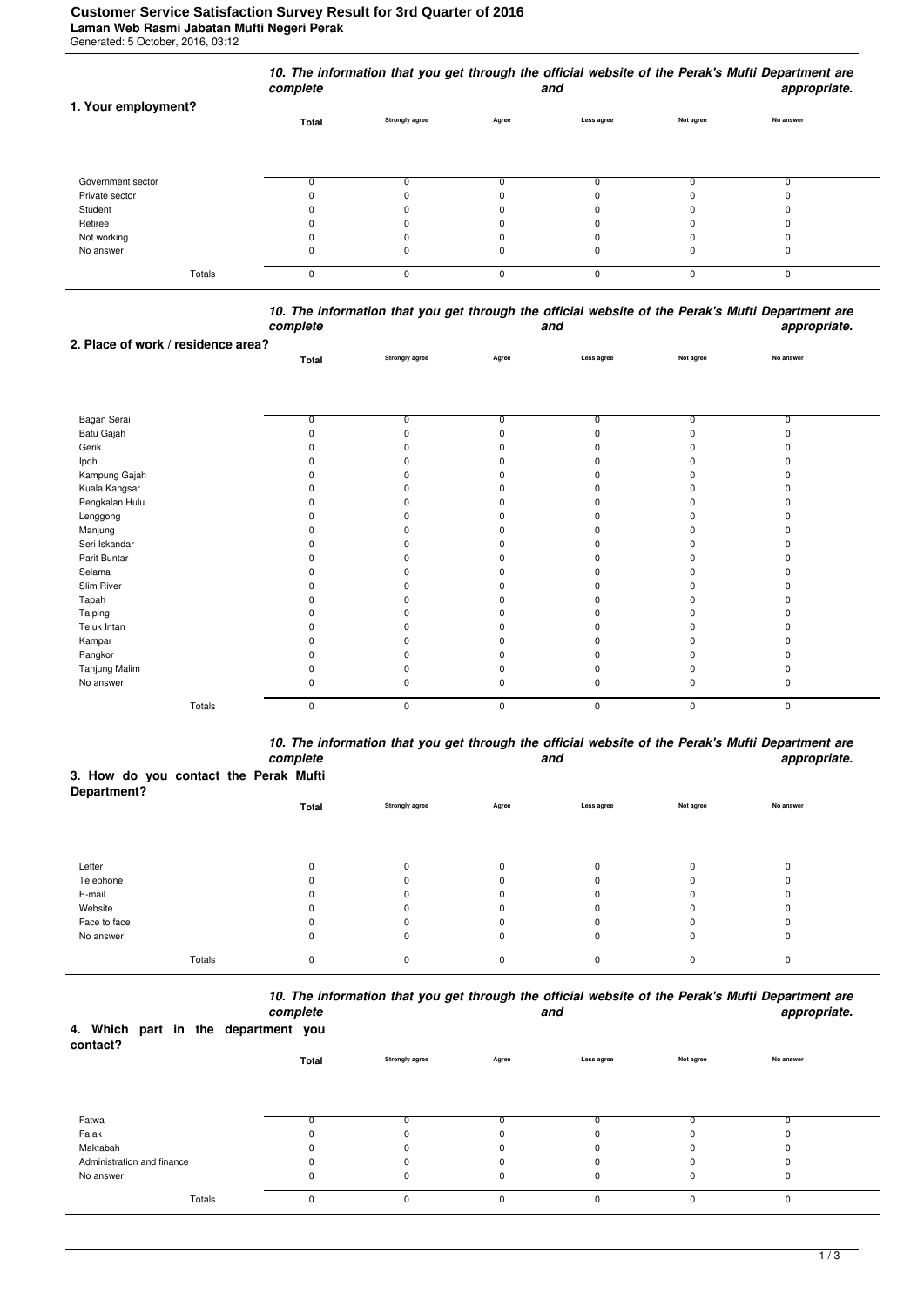|                     | complete |                       |          | and        |           | appropriate. |  |
|---------------------|----------|-----------------------|----------|------------|-----------|--------------|--|
| 1. Your employment? | Total    | <b>Strongly agree</b> | Agree    | Less agree | Not agree | No answer    |  |
|                     |          |                       |          |            |           |              |  |
| Government sector   |          |                       |          |            |           |              |  |
| Private sector      |          | 0                     |          |            |           |              |  |
| Student             |          | $\Omega$              |          |            |           |              |  |
| Retiree             |          | 0                     | $\Omega$ | n          |           | O            |  |
| Not working         |          | 0                     |          |            |           |              |  |
| No answer           | 0        | 0                     | 0        | 0          |           | 0            |  |

Totals 0 0 0 0 0 0

## *10. The information that you get through the official website of the Perak's Mufti Department are complete and appropriate.* **2. Place of work / residence area?**

|                | Total | Strongly agree | Agree          | Less agree     | Not agree      | No answer      |  |
|----------------|-------|----------------|----------------|----------------|----------------|----------------|--|
|                |       |                |                |                |                |                |  |
|                |       |                |                |                |                |                |  |
|                |       |                |                |                |                |                |  |
| Bagan Serai    | 0     | $\overline{0}$ | $\overline{0}$ | $\overline{0}$ | $\overline{0}$ | $\overline{0}$ |  |
| Batu Gajah     |       | $\Omega$       | n              |                | <sup>0</sup>   | n              |  |
| Gerik          |       | 0              |                |                |                |                |  |
| Ipoh           |       | ŋ              |                |                |                |                |  |
| Kampung Gajah  |       | ŋ              |                |                |                |                |  |
| Kuala Kangsar  |       | 0              |                |                |                |                |  |
| Pengkalan Hulu |       |                |                |                |                |                |  |
| Lenggong       |       | 0              |                |                |                |                |  |
| Manjung        |       | ŋ              |                |                |                |                |  |
| Seri Iskandar  |       | 0              |                |                |                |                |  |
| Parit Buntar   |       | $\Omega$       |                |                |                |                |  |
| Selama         |       | ŋ              |                |                |                |                |  |
| Slim River     |       | 0              |                |                |                |                |  |
| Tapah          |       | n              |                |                |                |                |  |
| Taiping        |       | 0              |                |                |                |                |  |
| Teluk Intan    |       | ŋ              |                |                |                |                |  |
| Kampar         |       | 0              |                |                |                |                |  |
| Pangkor        |       | ŋ              |                |                |                |                |  |
| Tanjung Malim  |       |                |                |                |                |                |  |
| No answer      |       | <sup>0</sup>   | <sup>n</sup>   | $\Omega$       | n              | n              |  |
|                |       |                |                |                |                |                |  |
| Totals         | 0     | 0              | 0              | $\mathbf 0$    | $\mathsf 0$    | $\mathsf 0$    |  |

*10. The information that you get through the official website of the Perak's Mufti Department are complete and appropriate.*

| 3. How do you contact the Perak Mufti<br>Department? |  |       |                       |       |            |           |           |
|------------------------------------------------------|--|-------|-----------------------|-------|------------|-----------|-----------|
|                                                      |  | Total | <b>Strongly agree</b> | Agree | Less agree | Not agree | No answer |

| Letter       |  |    |   |  |  |
|--------------|--|----|---|--|--|
| Telephone    |  |    |   |  |  |
| E-mail       |  |    |   |  |  |
| Website      |  |    |   |  |  |
| Face to face |  |    |   |  |  |
| No answer    |  |    |   |  |  |
|              |  |    |   |  |  |
| Totals       |  | n. | n |  |  |

*10. The information that you get through the official website of the Perak's Mufti Department are complete and appropriate.*

|          |  |                                     | complete |                       |       | and        |           | app       |
|----------|--|-------------------------------------|----------|-----------------------|-------|------------|-----------|-----------|
| contact? |  | 4. Which part in the department you |          |                       |       |            |           |           |
|          |  |                                     | Total    | <b>Strongly agree</b> | Agree | Less agree | Not agree | No answer |

| Fatwa                      |  |  |  |  |
|----------------------------|--|--|--|--|
| Falak                      |  |  |  |  |
| Maktabah                   |  |  |  |  |
| Administration and finance |  |  |  |  |
| No answer                  |  |  |  |  |
|                            |  |  |  |  |
|                            |  |  |  |  |
| Totals                     |  |  |  |  |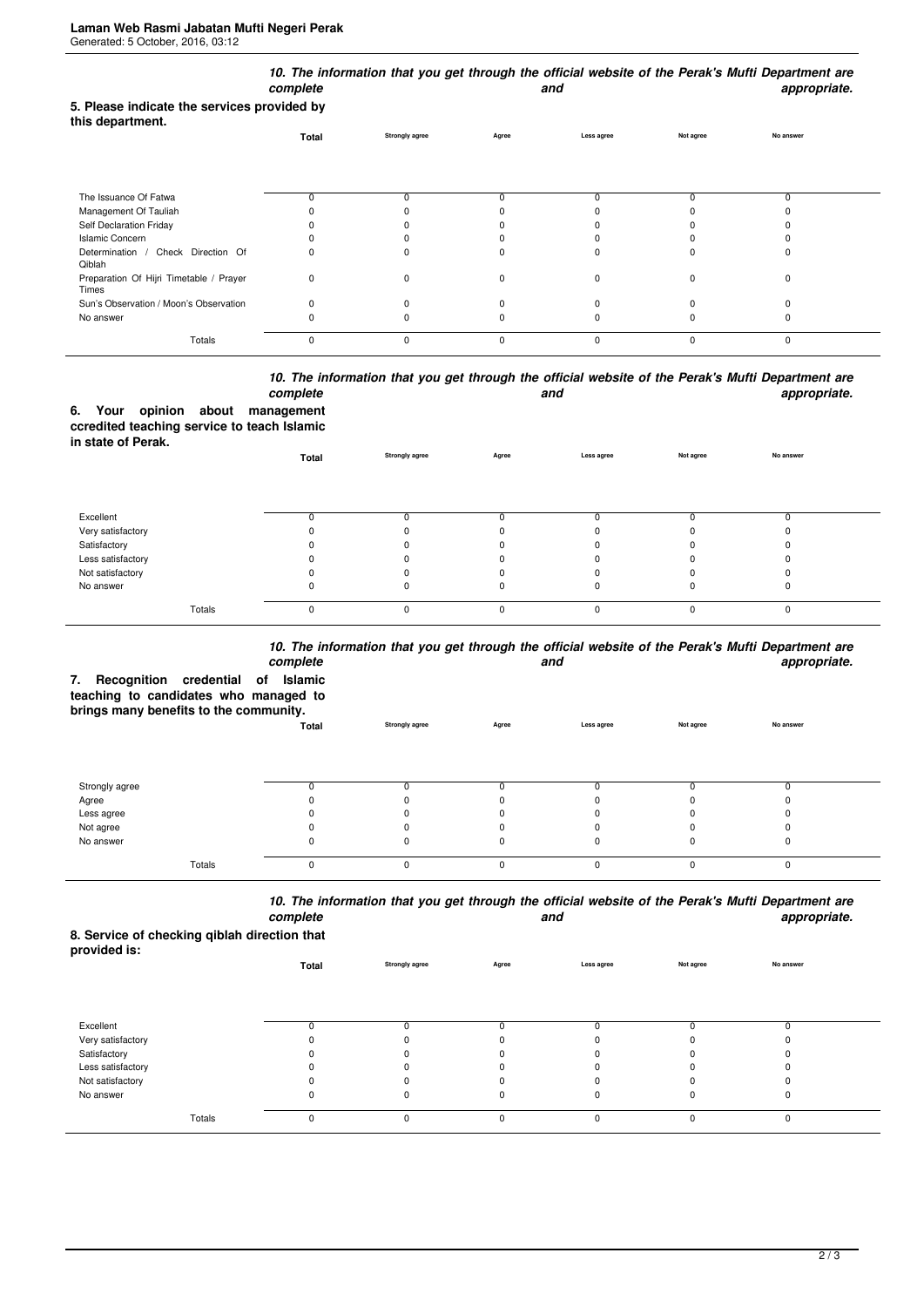| 5. Please indicate the services provided by<br>this department. | 10. The information that you get through the official website of the Perak's Mufti Department are<br>complete<br>appropriate.<br>and |                       |          |              |           |           |  |
|-----------------------------------------------------------------|--------------------------------------------------------------------------------------------------------------------------------------|-----------------------|----------|--------------|-----------|-----------|--|
|                                                                 | Total                                                                                                                                | <b>Strongly agree</b> | Agree    | Less agree   | Not agree | No answer |  |
| The Issuance Of Fatwa                                           | 0                                                                                                                                    | 0                     | n        |              | n         | 0         |  |
| Management Of Tauliah                                           |                                                                                                                                      |                       |          |              |           |           |  |
| Self Declaration Friday                                         |                                                                                                                                      |                       |          |              |           |           |  |
| <b>Islamic Concern</b>                                          |                                                                                                                                      |                       |          |              |           |           |  |
| Determination / Check Direction Of<br>Qiblah                    | 0                                                                                                                                    | 0                     | n        |              |           |           |  |
| Preparation Of Hijri Timetable / Prayer<br>Times                | 0                                                                                                                                    | 0                     |          | <sup>0</sup> | $\Omega$  | 0         |  |
| Sun's Observation / Moon's Observation                          | $\Omega$                                                                                                                             | $\Omega$              |          |              |           |           |  |
| No answer                                                       | n                                                                                                                                    |                       |          |              |           | ŋ         |  |
| Totals                                                          | 0                                                                                                                                    | $\mathbf 0$           | $\Omega$ | $\Omega$     | $\Omega$  | 0         |  |

## *10. The information that you get through the official website of the Perak's Mufti Department are* **and** and **appropriate.**

|                    |  | complete                                    |
|--------------------|--|---------------------------------------------|
|                    |  | 6. Your opinion about management            |
|                    |  | ccredited teaching service to teach Islamic |
| in state of Perak. |  |                                             |

| <b> .</b>         | Total    | <b>Strongly agree</b> | Agree    | Less agree | Not agree | No answer |  |
|-------------------|----------|-----------------------|----------|------------|-----------|-----------|--|
|                   |          |                       |          |            |           |           |  |
| Excellent         |          |                       |          |            |           |           |  |
| Very satisfactory |          |                       |          |            |           |           |  |
| Satisfactory      |          |                       |          |            |           |           |  |
| Less satisfactory |          |                       |          |            |           |           |  |
| Not satisfactory  |          |                       |          |            |           |           |  |
| No answer         | O        |                       |          |            |           |           |  |
| Totals            | $\Omega$ | 0                     | $\Omega$ | $\Omega$   |           |           |  |

## *10. The information that you get through the official website of the Perak's Mufti Department are*

| complete<br>appropriate.<br>and<br>Recognition credential of<br>Islamic<br>7.<br>teaching to candidates who managed to<br>brings many benefits to the community. |          |                       |              |            |           |           |  |  |  |  |
|------------------------------------------------------------------------------------------------------------------------------------------------------------------|----------|-----------------------|--------------|------------|-----------|-----------|--|--|--|--|
|                                                                                                                                                                  | Total    | <b>Strongly agree</b> | Agree        | Less agree | Not agree | No answer |  |  |  |  |
| Strongly agree                                                                                                                                                   |          |                       |              | 0          |           |           |  |  |  |  |
| Agree                                                                                                                                                            |          |                       |              |            |           |           |  |  |  |  |
| Less agree                                                                                                                                                       |          |                       |              |            |           |           |  |  |  |  |
| Not agree                                                                                                                                                        |          |                       |              | n          |           |           |  |  |  |  |
| No answer                                                                                                                                                        |          |                       |              | 0          |           |           |  |  |  |  |
| Totals                                                                                                                                                           | $\Omega$ | O                     | <sup>0</sup> | $\Omega$   |           | $\Omega$  |  |  |  |  |

*10. The information that you get through the official website of the Perak's Mufti Department are complete and appropriate.*

**8. Service of checking qiblah direction that provided is:**

| provided is.      | Total | <b>Strongly agree</b> | Agree    | Less agree | Not agree | No answer |  |
|-------------------|-------|-----------------------|----------|------------|-----------|-----------|--|
|                   |       |                       |          |            |           |           |  |
| Excellent         |       |                       |          |            |           |           |  |
| Very satisfactory |       | $\Omega$              |          |            |           |           |  |
| Satisfactory      |       | 0                     |          |            |           |           |  |
| Less satisfactory |       | 0                     |          |            |           |           |  |
| Not satisfactory  |       |                       |          |            |           |           |  |
| No answer         | 0     | 0                     |          | 0          | 0         | υ         |  |
| Totals            | 0     | 0                     | $\Omega$ | $\Omega$   | $\Omega$  | 0         |  |